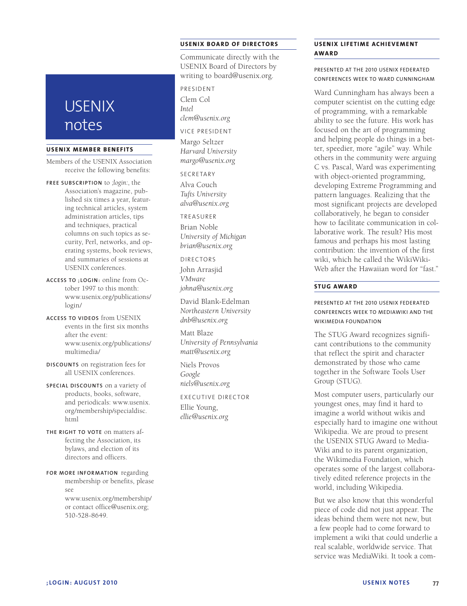# **USENIX** notes

#### **USENIX MEMBER BENEFITS**

Members of the USENIX Association receive the following benefits:

- **FREE SUBSCRIPTION** to *;login:*, the Association's magazine, published six times a year, featuring technical articles, system administration articles, tips and techniques, practical columns on such topics as security, Perl, networks, and operating systems, book reviews, and summaries of sessions at USENIX conferences.
- **ACCESS TO ;LOGIN:** online from October 1997 to this month: www.usenix.org/publications/ login/
- **ACCESS TO VIDEOS** from USENIX events in the first six months after the event: www.usenix.org/publications/ multimedia/
- **DISCOUNTS** on registration fees for all USENIX conferences.
- **SPECIAL DISCOUNTS** on a variety of products, books, software, and periodicals: www.usenix. org/membership/specialdisc. html
- **THE RIGHT TO VOTE** on matters affecting the Association, its bylaws, and election of its directors and officers.
- **FOR MORE INFORMATION** regarding membership or benefits, please see www.usenix.org/membership/ or contact office@usenix.org; 510-528-8649.

# **USENIX BOARD OF DIRECTORS**

Communicate directly with the USENIX Board of Directors by writing to board@usenix.org.

PRESIDENT Clem Col *Intel clem@usenix.org*

VICE PRESIDENT

Margo Seltzer *Harvard University margo@usenix.org*

SECRETARY

Alva Couch *Tufts University alva@usenix.org*

TREASURER

Brian Noble *University of Michigan brian@usenix.org*

DIRECTORS

John Arrasjid *VMware johna@usenix.org*

David Blank-Edelman *Northeastern University dnb@usenix.org*

Matt Blaze *University of Pennsylvania matt@usenix.org*

Niels Provos *Google niels@usenix.org*

EXECUTIVE DIRECTOR

Ellie Young, *ellie@usenix.org*

## **USENIX LIFETIME ACHIEVEMENT AWARD**

PRESENTED AT THE 2010 USENIX FEDERATED CONFERENCES WEEK TO WARD CUNNINGHAM

Ward Cunningham has always been a computer scientist on the cutting edge of programming, with a remarkable ability to see the future. His work has focused on the art of programming and helping people do things in a better, speedier, more "agile" way. While others in the community were arguing C vs. Pascal, Ward was experimenting with object-oriented programming, developing Extreme Programming and pattern languages. Realizing that the most significant projects are developed collaboratively, he began to consider how to facilitate communication in collaborative work. The result? His most famous and perhaps his most lasting contribution: the invention of the first wiki, which he called the WikiWiki-Web after the Hawaiian word for "fast."

# **STUG AWARD**

# PRESENTED AT THE 2010 USENIX FEDERATED CONFERENCES WEEK TO MEDIAWIKI AND THE WIKIMEDIA FOUNDATION

The STUG Award recognizes significant contributions to the community that reflect the spirit and character demonstrated by those who came together in the Software Tools User Group (STUG).

Most computer users, particularly our youngest ones, may find it hard to imagine a world without wikis and especially hard to imagine one without Wikipedia. We are proud to present the USENIX STUG Award to Media-Wiki and to its parent organization, the Wikimedia Foundation, which operates some of the largest collaboratively edited reference projects in the world, including Wikipedia.

But we also know that this wonderful piece of code did not just appear. The ideas behind them were not new, but a few people had to come forward to implement a wiki that could underlie a real scalable, worldwide service. That service was MediaWiki. It took a com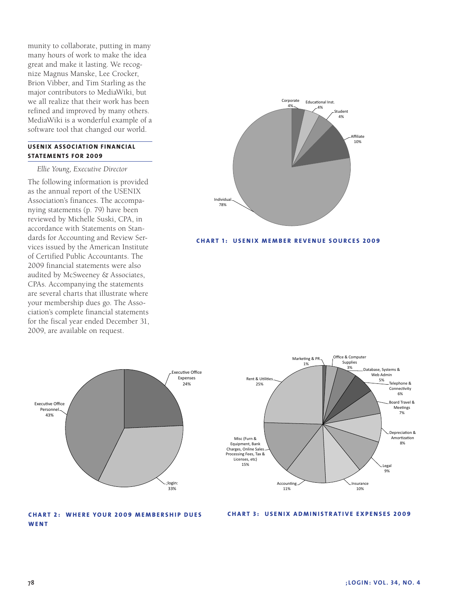munity to collaborate, putting in many many hours of work to make the idea great and make it lasting. We recognize Magnus Manske, Lee Crocker, Brion Vibber, and Tim Starling as the major contributors to MediaWiki, but we all realize that their work has been refined and improved by many others. MediaWiki is a wonderful example of a software tool that changed our world.

# **USENIX ASSOCIATION FINANCIAL STATEMENTS FOR 2009**

#### *Ellie Young, Executive Director*

The following information is provided as the annual report of the USENIX Association's finances. The accompanying statements (p. 79) have been reviewed by Michelle Suski, CPA, in accordance with Statements on Standards for Accounting and Review Services issued by the American Institute of Certified Public Accountants. The 2009 financial statements were also audited by McSweeney & Associates, CPAs. Accompanying the statements are several charts that illustrate where your membership dues go. The Association's complete financial statements for the fiscal year ended December 31, 2009, are available on request.



#### **CHART 1: USENIX MEMBER REVENUE SOURCES 2009**





### **CHART 2: WHERE YOUR 2009 MEMBERSHIP DUES WENT**

#### **CHART 3: USENIX ADMINISTRATIVE EXPENSES 2009**